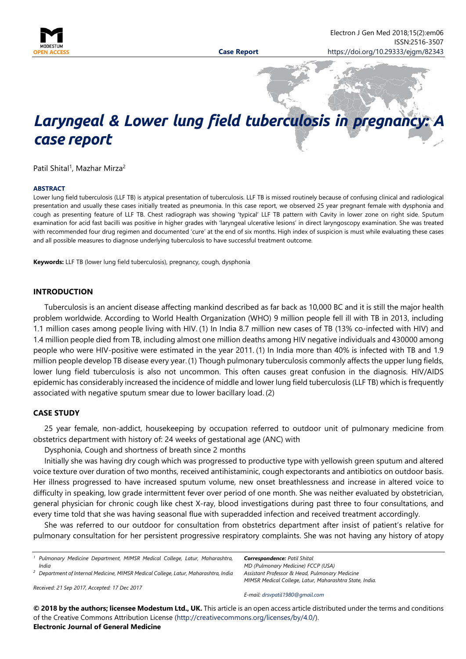

# Laryngeal & Lower lung field tuberculosis in pregnanc *case report*

Patil Shital<sup>1</sup>, Mazhar Mirza<sup>2</sup>

#### **ABSTRACT**

Lower lung field tuberculosis (LLF TB) is atypical presentation of tuberculosis. LLF TB is missed routinely because of confusing clinical and radiological presentation and usually these cases initially treated as pneumonia. In this case report, we observed 25 year pregnant female with dysphonia and cough as presenting feature of LLF TB. Chest radiograph was showing 'typical' LLF TB pattern with Cavity in lower zone on right side. Sputum examination for acid fast bacilli was positive in higher grades with 'laryngeal ulcerative lesions' in direct laryngoscopy examination. She was treated with recommended four drug regimen and documented 'cure' at the end of six months. High index of suspicion is must while evaluating these cases and all possible measures to diagnose underlying tuberculosis to have successful treatment outcome.

**Keywords:** LLF TB (lower lung field tuberculosis), pregnancy, cough, dysphonia

#### **INTRODUCTION**

Tuberculosis is an ancient disease affecting mankind described as far back as 10,000 BC and it is still the major health problem worldwide. According to World Health Organization (WHO) 9 million people fell ill with TB in 2013, including 1.1 million cases among people living with HIV. (1) In India 8.7 million new cases of TB (13% co-infected with HIV) and 1.4 million people died from TB, including almost one million deaths among HIV negative individuals and 430000 among people who were HIV-positive were estimated in the year 2011. (1) In India more than 40% is infected with TB and 1.9 million people develop TB disease every year.(1) Though pulmonary tuberculosis commonly affects the upper lung fields, lower lung field tuberculosis is also not uncommon. This often causes great confusion in the diagnosis. HIV/AIDS epidemic has considerably increased the incidence of middle and lower lung field tuberculosis (LLF TB) which is frequently associated with negative sputum smear due to lower bacillary load. (2)

#### **CASE STUDY**

25 year female, non-addict, housekeeping by occupation referred to outdoor unit of pulmonary medicine from obstetrics department with history of: 24 weeks of gestational age (ANC) with

Dysphonia, Cough and shortness of breath since 2 months

Initially she was having dry cough which was progressed to productive type with yellowish green sputum and altered voice texture over duration of two months, received antihistaminic, cough expectorants and antibiotics on outdoor basis. Her illness progressed to have increased sputum volume, new onset breathlessness and increase in altered voice to difficulty in speaking, low grade intermittent fever over period of one month. She was neither evaluated by obstetrician, general physician for chronic cough like chest X-ray, blood investigations during past three to four consultations, and every time told that she was having seasonal flue with superadded infection and received treatment accordingly.

She was referred to our outdoor for consultation from obstetrics department after insist of patient's relative for pulmonary consultation for her persistent progressive respiratory complaints. She was not having any history of atopy

*<sup>1</sup> Pulmonary Medicine Department, MIMSR Medical College, Latur, Maharashtra, India <sup>2</sup> Department of Internal Medicine, MIMSR Medical College, Latur, Maharashtra, India* *Correspondence: Patil Shital MD (Pulmonary Medicine) FCCP (USA) Assistant Professor & Head, Pulmonary Medicine MIMSR Medical College, Latur, Maharashtra State, India.*

*Received: 21 Sep 2017, Accepted: 17 Dec 2017*

*E-mail: [drsvpatil1980@gmail.com](mailto:drsvpatil1980@gmail.com)*

**© 2018 by the authors; licensee Modestum Ltd., UK.** This article is an open access article distributed under the terms and conditions of the Creative Commons Attribution License [\(http://creativecommons.org/licenses/by/4.0/\)](http://creativecommons.org/licenses/by/4.0/). **Electronic Journal of General Medicine**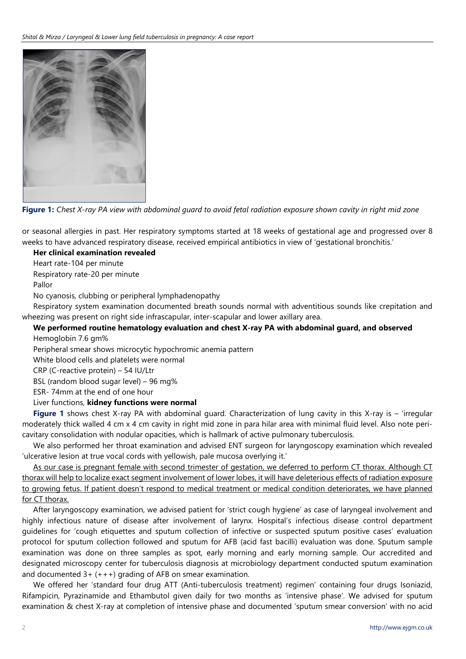

**Figure 1:** *Chest X-ray PA view with abdominal guard to avoid fetal radiation exposure shown cavity in right mid zone*

or seasonal allergies in past. Her respiratory symptoms started at 18 weeks of gestational age and progressed over 8 weeks to have advanced respiratory disease, received empirical antibiotics in view of 'gestational bronchitis.'

**Her clinical examination revealed**

Heart rate-104 per minute

Respiratory rate-20 per minute

Pallor

No cyanosis, clubbing or peripheral lymphadenopathy

Respiratory system examination documented breath sounds normal with adventitious sounds like crepitation and wheezing was present on right side infrascapular, inter-scapular and lower axillary area.

## **We performed routine hematology evaluation and chest X-ray PA with abdominal guard, and observed**  Hemoglobin 7.6 gm%

Peripheral smear shows microcytic hypochromic anemia pattern

White blood cells and platelets were normal

CRP (C-reactive protein) – 54 IU/Ltr

BSL (random blood sugar level) – 96 mg%

ESR- 74mm at the end of one hour

# Liver functions, **kidney functions were normal**

**Figure 1** shows chest X-ray PA with abdominal guard. Characterization of lung cavity in this X-ray is – 'irregular moderately thick walled 4 cm x 4 cm cavity in right mid zone in para hilar area with minimal fluid level. Also note pericavitary consolidation with nodular opacities, which is hallmark of active pulmonary tuberculosis.

We also performed her throat examination and advised ENT surgeon for laryngoscopy examination which revealed 'ulcerative lesion at true vocal cords with yellowish, pale mucosa overlying it.'

As our case is pregnant female with second trimester of gestation, we deferred to perform CT thorax. Although CT thorax will help to localize exact segment involvement of lower lobes, it will have deleterious effects of radiation exposure to growing fetus. If patient doesn't respond to medical treatment or medical condition deteriorates, we have planned for CT thorax.

After laryngoscopy examination, we advised patient for 'strict cough hygiene' as case of laryngeal involvement and highly infectious nature of disease after involvement of larynx. Hospital's infectious disease control department guidelines for 'cough etiquettes and sputum collection of infective or suspected sputum positive cases' evaluation protocol for sputum collection followed and sputum for AFB (acid fast bacilli) evaluation was done. Sputum sample examination was done on three samples as spot, early morning and early morning sample. Our accredited and designated microscopy center for tuberculosis diagnosis at microbiology department conducted sputum examination and documented  $3+ (+++)$  grading of AFB on smear examination.

We offered her 'standard four drug ATT (Anti-tuberculosis treatment) regimen' containing four drugs Isoniazid, Rifampicin, Pyrazinamide and Ethambutol given daily for two months as 'intensive phase'. We advised for sputum examination & chest X-ray at completion of intensive phase and documented 'sputum smear conversion' with no acid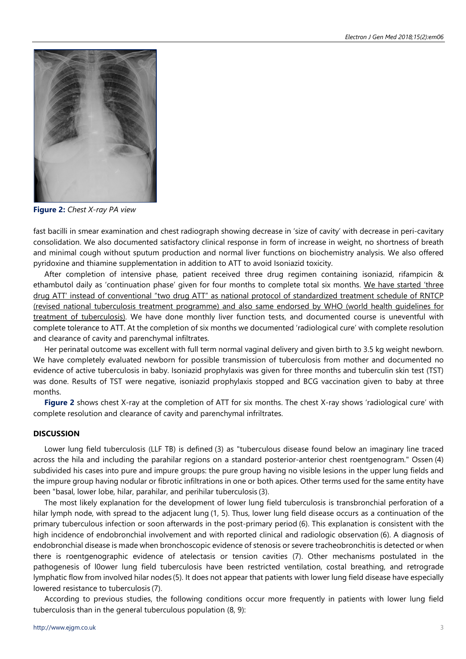

**Figure 2:** *Chest X-ray PA view*

fast bacilli in smear examination and chest radiograph showing decrease in 'size of cavity' with decrease in peri-cavitary consolidation. We also documented satisfactory clinical response in form of increase in weight, no shortness of breath and minimal cough without sputum production and normal liver functions on biochemistry analysis. We also offered pyridoxine and thiamine supplementation in addition to ATT to avoid Isoniazid toxicity.

After completion of intensive phase, patient received three drug regimen containing isoniazid, rifampicin & ethambutol daily as 'continuation phase' given for four months to complete total six months. We have started 'three drug ATT' instead of conventional "two drug ATT" as national protocol of standardized treatment schedule of RNTCP (revised national tuberculosis treatment programme) and also same endorsed by WHO (world health guidelines for treatment of tuberculosis). We have done monthly liver function tests, and documented course is uneventful with complete tolerance to ATT. At the completion of six months we documented 'radiological cure' with complete resolution and clearance of cavity and parenchymal infiltrates.

Her perinatal outcome was excellent with full term normal vaginal delivery and given birth to 3.5 kg weight newborn. We have completely evaluated newborn for possible transmission of tuberculosis from mother and documented no evidence of active tuberculosis in baby. Isoniazid prophylaxis was given for three months and tuberculin skin test (TST) was done. Results of TST were negative, isoniazid prophylaxis stopped and BCG vaccination given to baby at three months.

**Figure 2** shows chest X-ray at the completion of ATT for six months. The chest X-ray shows 'radiological cure' with complete resolution and clearance of cavity and parenchymal infriltrates.

### **DISCUSSION**

Lower lung field tuberculosis (LLF TB) is defined (3) as "tuberculous disease found below an imaginary line traced across the hila and including the parahilar regions on a standard posterior-anterior chest roentgenogram." Ossen (4) subdivided his cases into pure and impure groups: the pure group having no visible lesions in the upper lung fields and the impure group having nodular or fibrotic infiltrations in one or both apices. Other terms used for the same entity have been "basal, lower lobe, hilar, parahilar, and perihilar tuberculosis (3).

The most likely explanation for the development of lower lung field tuberculosis is transbronchial perforation of a hilar lymph node, with spread to the adjacent lung (1, 5). Thus, lower lung field disease occurs as a continuation of the primary tuberculous infection or soon afterwards in the post-primary period (6). This explanation is consistent with the high incidence of endobronchial involvement and with reported clinical and radiologic observation (6). A diagnosis of endobronchial disease is made when bronchoscopic evidence of stenosis or severe tracheobronchitis is detected or when there is roentgenographic evidence of atelectasis or tension cavities (7). Other mechanisms postulated in the pathogenesis of l0ower lung field tuberculosis have been restricted ventilation, costal breathing, and retrograde lymphatic flow from involved hilar nodes (5). It does not appear that patients with lower lung field disease have especially lowered resistance to tuberculosis (7).

According to previous studies, the following conditions occur more frequently in patients with lower lung field tuberculosis than in the general tuberculous population (8, 9):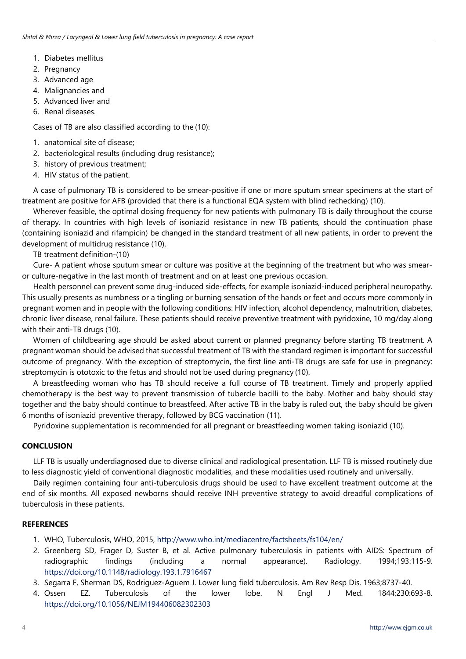- 1. Diabetes mellitus
- 2. Pregnancy
- 3. Advanced age
- 4. Malignancies and
- 5. Advanced liver and
- 6. Renal diseases.

Cases of TB are also classified according to the (10):

- 1. anatomical site of disease;
- 2. bacteriological results (including drug resistance);
- 3. history of previous treatment;
- 4. HIV status of the patient.

A case of pulmonary TB is considered to be smear-positive if one or more sputum smear specimens at the start of treatment are positive for AFB (provided that there is a functional EQA system with blind rechecking) (10).

Wherever feasible, the optimal dosing frequency for new patients with pulmonary TB is daily throughout the course of therapy. In countries with high levels of isoniazid resistance in new TB patients, should the continuation phase (containing isoniazid and rifampicin) be changed in the standard treatment of all new patients, in order to prevent the development of multidrug resistance (10).

TB treatment definition-(10)

Cure- A patient whose sputum smear or culture was positive at the beginning of the treatment but who was smearor culture-negative in the last month of treatment and on at least one previous occasion.

Health personnel can prevent some drug-induced side-effects, for example isoniazid-induced peripheral neuropathy. This usually presents as numbness or a tingling or burning sensation of the hands or feet and occurs more commonly in pregnant women and in people with the following conditions: HIV infection, alcohol dependency, malnutrition, diabetes, chronic liver disease, renal failure. These patients should receive preventive treatment with pyridoxine, 10 mg/day along with their anti-TB drugs (10).

Women of childbearing age should be asked about current or planned pregnancy before starting TB treatment. A pregnant woman should be advised that successful treatment of TB with the standard regimen is important for successful outcome of pregnancy. With the exception of streptomycin, the first line anti-TB drugs are safe for use in pregnancy: streptomycin is ototoxic to the fetus and should not be used during pregnancy (10).

A breastfeeding woman who has TB should receive a full course of TB treatment. Timely and properly applied chemotherapy is the best way to prevent transmission of tubercle bacilli to the baby. Mother and baby should stay together and the baby should continue to breastfeed. After active TB in the baby is ruled out, the baby should be given 6 months of isoniazid preventive therapy, followed by BCG vaccination (11).

Pyridoxine supplementation is recommended for all pregnant or breastfeeding women taking isoniazid (10).

# **CONCLUSION**

LLF TB is usually underdiagnosed due to diverse clinical and radiological presentation. LLF TB is missed routinely due to less diagnostic yield of conventional diagnostic modalities, and these modalities used routinely and universally.

Daily regimen containing four anti-tuberculosis drugs should be used to have excellent treatment outcome at the end of six months. All exposed newborns should receive INH preventive strategy to avoid dreadful complications of tuberculosis in these patients.

# **REFERENCES**

- 1. WHO, Tuberculosis, WHO, 2015,<http://www.who.int/mediacentre/factsheets/fs104/en/>
- 2. Greenberg SD, Frager D, Suster B, et al. Active pulmonary tuberculosis in patients with AIDS: Spectrum of radiographic findings (including a normal appearance). Radiology. 1994;193:115-9. <https://doi.org/10.1148/radiology.193.1.7916467>
- 3. Segarra F, Sherman DS, Rodriguez-Aguem J. Lower lung field tuberculosis. Am Rev Resp Dis. 1963;8737-40.
- 4. Ossen EZ. Tuberculosis of the lower lobe. N Engl J Med. 1844;230:693-8. <https://doi.org/10.1056/NEJM194406082302303>